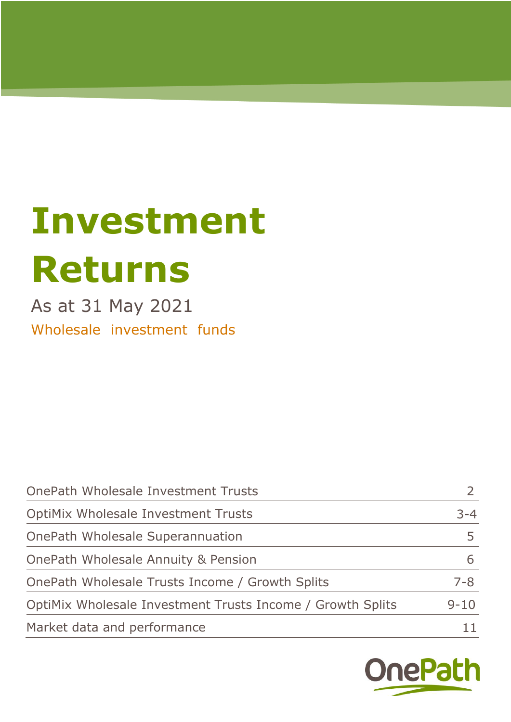# **Investment Returns**

As at 31 May 2021 Wholesale investment funds

| OnePath Wholesale Investment Trusts                        |          |
|------------------------------------------------------------|----------|
| <b>OptiMix Wholesale Investment Trusts</b>                 | $3 - 4$  |
| OnePath Wholesale Superannuation                           |          |
| OnePath Wholesale Annuity & Pension                        |          |
| OnePath Wholesale Trusts Income / Growth Splits            | $7 - 8$  |
| OptiMix Wholesale Investment Trusts Income / Growth Splits | $9 - 10$ |
| Market data and performance                                |          |

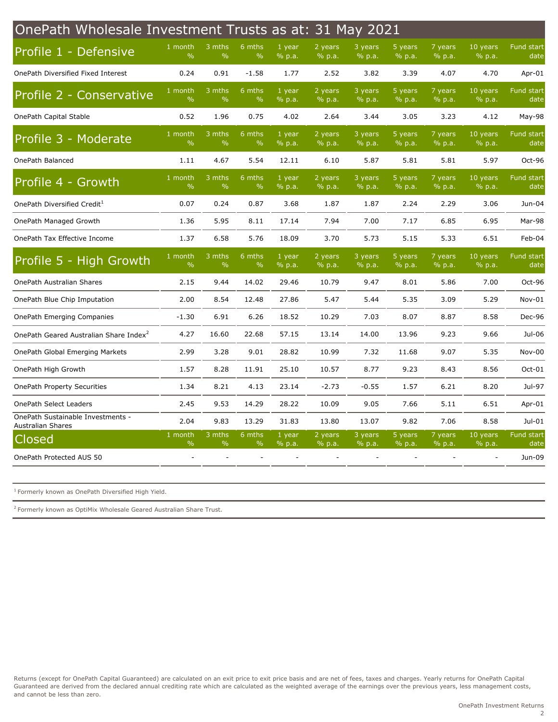<span id="page-1-0"></span>

| OnePath Wholesale Investment Trusts as at: 31 May 2021 |                          |                         |                           |                  |                   |                   |                   |                            |                                    |                                                                        |  |  |
|--------------------------------------------------------|--------------------------|-------------------------|---------------------------|------------------|-------------------|-------------------|-------------------|----------------------------|------------------------------------|------------------------------------------------------------------------|--|--|
| Profile 1 - Defensive                                  | 1 month<br>$\frac{0}{0}$ | 3 mths<br>$\frac{0}{0}$ | 6 mths<br>$\frac{0}{0}$   | 1 year<br>% p.a. | 2 years<br>% p.a. | 3 years<br>% p.a. | 5 years<br>% p.a. | 7 years<br>% p.a.          | 10 years<br>% p.a.                 | Fund start<br>date                                                     |  |  |
| OnePath Diversified Fixed Interest                     | 0.24                     | 0.91                    | $-1.58$                   | 1.77             | 2.52              | 3.82              | 3.39              | 4.07                       | 4.70                               | Apr-01                                                                 |  |  |
| Profile 2 - Conservative                               | 1 month<br>$\frac{0}{0}$ | 3 mths<br>$\frac{0}{0}$ | $6$ mths<br>$\frac{0}{0}$ | 1 year<br>% p.a. | 2 years<br>% p.a. | 3 years<br>% p.a. | 5 years<br>% p.a. | 7 years<br>% p.a.          | 10 years<br>% p.a.                 | Fund start<br>date                                                     |  |  |
| OnePath Capital Stable                                 | 0.52                     | 1.96                    | 0.75                      | 4.02             | 2.64              | 3.44              | 3.05              | 3.23                       | 4.12                               | May-98                                                                 |  |  |
| Profile 3 - Moderate                                   | 1 month<br>$\%$          | 3 mths<br>$\frac{0}{0}$ | $6$ mths<br>$\%$          | 1 year<br>% p.a. | 2 years<br>% p.a. | 3 years<br>% p.a. | 5 years<br>% p.a. | 7 years<br>% p.a.          | 10 years<br>% p.a.                 | Fund start<br>date                                                     |  |  |
| OnePath Balanced                                       | 1.11                     | 4.67                    | 5.54                      | 12.11            | 6.10              | 5.87              | 5.81              | 5.81                       | 5.97                               | Oct-96                                                                 |  |  |
| Profile 4 - Growth                                     | 1 month<br>$\frac{0}{0}$ | 3 mths<br>$\frac{0}{0}$ | 6 mths<br>$\%$            | 1 year<br>% p.a. | 2 years<br>% p.a. | 3 years<br>% p.a. | 5 years<br>% p.a. | 7 years<br>$\sqrt{9}$ p.a. | 10 years<br>% p.a.                 | Fund start<br>date                                                     |  |  |
| OnePath Diversified Credit <sup>1</sup>                | 0.07                     | 0.24                    | 0.87                      | 3.68             | 1.87              | 1.87              | 2.24              | 2.29                       | 3.06                               | Jun-04                                                                 |  |  |
| OnePath Managed Growth                                 | 1.36                     | 5.95                    | 8.11                      | 17.14            | 7.94              | 7.00              | 7.17              | 6.85                       | 6.95                               | Mar-98                                                                 |  |  |
| OnePath Tax Effective Income                           | 1.37                     | 6.58                    | 5.76                      | 18.09            | 3.70              | 5.73              | 5.15              | 5.33                       | 6.51                               | Feb-04                                                                 |  |  |
| Profile 5 - High Growth                                | 1 month<br>$\frac{0}{0}$ | 3 mths<br>$\%$          | $6$ mths<br>$\%$          | 1 year<br>% p.a. | 2 years<br>% p.a. | 3 years<br>% p.a. | 5 years<br>% p.a. | 7 years<br>% p.a.          | 10 years<br>% p.a.                 | Fund start<br>date                                                     |  |  |
| OnePath Australian Shares                              | 2.15                     | 9.44                    | 14.02                     | 29.46            | 10.79             | 9.47              | 8.01              | 5.86                       | 7.00                               | Oct-96                                                                 |  |  |
| OnePath Blue Chip Imputation                           | 2.00                     | 8.54                    | 12.48                     | 27.86            | 5.47              | 5.44              | 5.35              | 3.09                       | 5.29                               | Nov-01                                                                 |  |  |
| OnePath Emerging Companies                             | $-1.30$                  | 6.91                    | 6.26                      | 18.52            | 10.29             | 7.03              | 8.07              | 8.87                       | 8.58                               | Dec-96                                                                 |  |  |
| OnePath Geared Australian Share Index <sup>2</sup>     | 4.27                     | 16.60                   | 22.68                     | 57.15            | 13.14             | 14.00             | 13.96             | 9.23                       | 9.66                               | Jul-06                                                                 |  |  |
| OnePath Global Emerging Markets                        | 2.99                     | 3.28                    | 9.01                      | 28.82            | 10.99             | 7.32              | 11.68             | 9.07                       | 5.35                               | Nov-00                                                                 |  |  |
|                                                        |                          |                         |                           |                  |                   |                   |                   |                            |                                    |                                                                        |  |  |
| OnePath High Growth                                    | 1.57                     | 8.28                    | 11.91                     | 25.10            | 10.57             | 8.77              | 9.23              | 8.43                       | 8.56                               |                                                                        |  |  |
| <b>OnePath Property Securities</b>                     | 1.34                     | 8.21                    | 4.13                      | 23.14            | $-2.73$           | $-0.55$           | 1.57              | 6.21                       | 8.20                               |                                                                        |  |  |
| OnePath Select Leaders                                 | 2.45                     | 9.53                    | 14.29                     | 28.22            | 10.09             | 9.05              | 7.66              | 5.11                       | 6.51                               |                                                                        |  |  |
| OnePath Sustainable Investments -                      | 2.04                     | 9.83                    | 13.29                     | 31.83            | 13.80             | 13.07             | 9.82              | 7.06                       | 8.58                               |                                                                        |  |  |
| <b>Australian Shares</b><br>Closed                     | 1 month<br>$\%$          | $3$ mths                | 6 mths<br>$\%$            | $1$ year         | 2 years           | 3 years           | 5 years           | 7 years                    | 10 years                           |                                                                        |  |  |
| OnePath Protected AUS 50                               |                          | $\%$                    |                           | % p.a.           | % p.a.            | % p.a.            | % p.a.            | % p.a.                     | % p.a.<br>$\overline{\phantom{a}}$ | Oct-01<br>Jul-97<br>Apr-01<br>$Jul-01$<br>Fund start<br>date<br>Jun-09 |  |  |

 $1$  Formerly known as OnePath Diversified High Yield.

 $2$  Formerly known as OptiMix Wholesale Geared Australian Share Trust.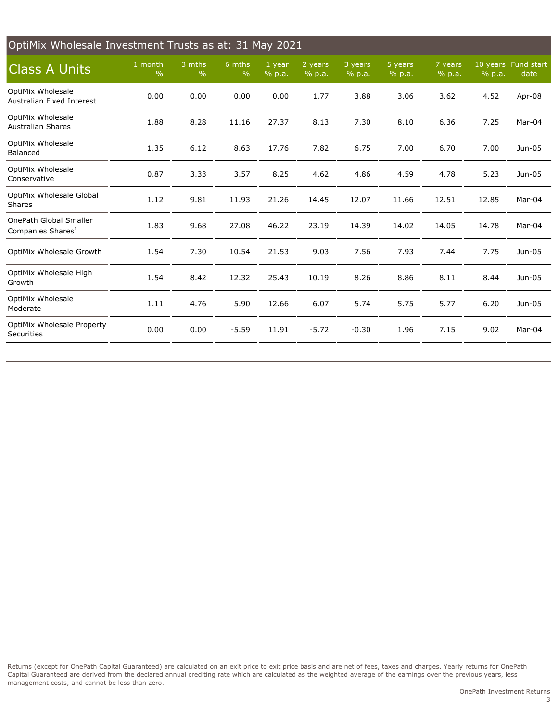<span id="page-2-0"></span>

| OptiMix Wholesale Investment Trusts as at: 31 May 2021         |                          |                         |                         |                  |                   |                   |                   |                   |        |                             |  |
|----------------------------------------------------------------|--------------------------|-------------------------|-------------------------|------------------|-------------------|-------------------|-------------------|-------------------|--------|-----------------------------|--|
| <b>Class A Units</b>                                           | 1 month<br>$\frac{0}{0}$ | 3 mths<br>$\frac{0}{0}$ | 6 mths<br>$\frac{0}{0}$ | 1 year<br>% p.a. | 2 years<br>% p.a. | 3 years<br>% p.a. | 5 years<br>% p.a. | 7 years<br>% p.a. | % p.a. | 10 years Fund start<br>date |  |
| OptiMix Wholesale<br>Australian Fixed Interest                 | 0.00                     | 0.00                    | 0.00                    | 0.00             | 1.77              | 3.88              | 3.06              | 3.62              | 4.52   | Apr-08                      |  |
| <b>OptiMix Wholesale</b><br><b>Australian Shares</b>           | 1.88                     | 8.28                    | 11.16                   | 27.37            | 8.13              | 7.30              | 8.10              | 6.36              | 7.25   | Mar-04                      |  |
| <b>OptiMix Wholesale</b><br>Balanced                           | 1.35                     | 6.12                    | 8.63                    | 17.76            | 7.82              | 6.75              | 7.00              | 6.70              | 7.00   | Jun-05                      |  |
| OptiMix Wholesale<br>Conservative                              | 0.87                     | 3.33                    | 3.57                    | 8.25             | 4.62              | 4.86              | 4.59              | 4.78              | 5.23   | Jun-05                      |  |
| OptiMix Wholesale Global<br><b>Shares</b>                      | 1.12                     | 9.81                    | 11.93                   | 21.26            | 14.45             | 12.07             | 11.66             | 12.51             | 12.85  | Mar-04                      |  |
| <b>OnePath Global Smaller</b><br>Companies Shares <sup>1</sup> | 1.83                     | 9.68                    | 27.08                   | 46.22            | 23.19             | 14.39             | 14.02             | 14.05             | 14.78  | Mar-04                      |  |
| OptiMix Wholesale Growth                                       | 1.54                     | 7.30                    | 10.54                   | 21.53            | 9.03              | 7.56              | 7.93              | 7.44              | 7.75   | Jun-05                      |  |
| OptiMix Wholesale High<br>Growth                               | 1.54                     | 8.42                    | 12.32                   | 25.43            | 10.19             | 8.26              | 8.86              | 8.11              | 8.44   | Jun-05                      |  |
| <b>OptiMix Wholesale</b><br>Moderate                           | 1.11                     | 4.76                    | 5.90                    | 12.66            | 6.07              | 5.74              | 5.75              | 5.77              | 6.20   | Jun-05                      |  |
| OptiMix Wholesale Property<br>Securities                       | 0.00                     | 0.00                    | $-5.59$                 | 11.91            | $-5.72$           | $-0.30$           | 1.96              | 7.15              | 9.02   | Mar-04                      |  |
|                                                                |                          |                         |                         |                  |                   |                   |                   |                   |        |                             |  |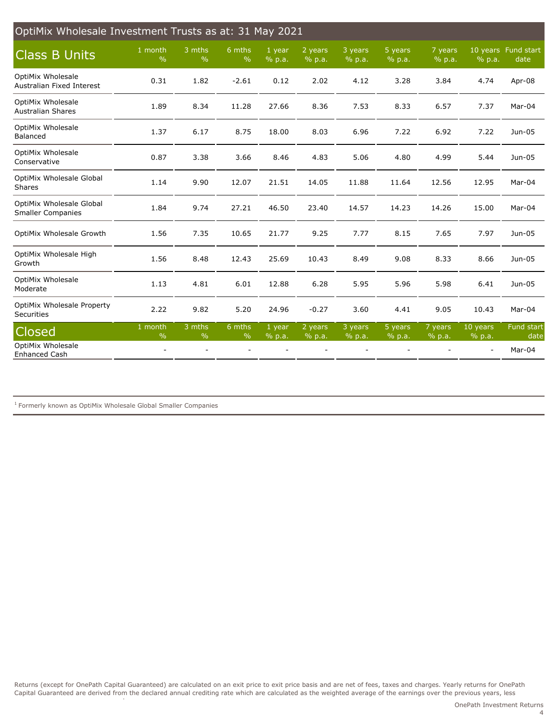| OptiMix Wholesale Investment Trusts as at: 31 May 2021 |                          |                         |                         |                    |                   |                   |                   |                   |                    |                             |
|--------------------------------------------------------|--------------------------|-------------------------|-------------------------|--------------------|-------------------|-------------------|-------------------|-------------------|--------------------|-----------------------------|
| <b>Class B Units</b>                                   | 1 month<br>$\frac{0}{0}$ | 3 mths<br>$\frac{0}{0}$ | 6 mths<br>$\frac{0}{0}$ | 1 year<br>% p.a.   | 2 years<br>% p.a. | 3 years<br>% p.a. | 5 years<br>% p.a. | 7 years<br>% p.a. | % p.a.             | 10 years Fund start<br>date |
| <b>OptiMix Wholesale</b><br>Australian Fixed Interest  | 0.31                     | 1.82                    | $-2.61$                 | 0.12               | 2.02              | 4.12              | 3.28              | 3.84              | 4.74               | Apr-08                      |
| <b>OptiMix Wholesale</b><br><b>Australian Shares</b>   | 1.89                     | 8.34                    | 11.28                   | 27.66              | 8.36              | 7.53              | 8.33              | 6.57              | 7.37               | Mar-04                      |
| OptiMix Wholesale<br>Balanced                          | 1.37                     | 6.17                    | 8.75                    | 18.00              | 8.03              | 6.96              | 7.22              | 6.92              | 7.22               | Jun-05                      |
| <b>OptiMix Wholesale</b><br>Conservative               | 0.87                     | 3.38                    | 3.66                    | 8.46               | 4.83              | 5.06              | 4.80              | 4.99              | 5.44               | Jun-05                      |
| OptiMix Wholesale Global<br><b>Shares</b>              | 1.14                     | 9.90                    | 12.07                   | 21.51              | 14.05             | 11.88             | 11.64             | 12.56             | 12.95              | Mar-04                      |
| OptiMix Wholesale Global<br><b>Smaller Companies</b>   | 1.84                     | 9.74                    | 27.21                   | 46.50              | 23.40             | 14.57             | 14.23             | 14.26             | 15.00              | Mar-04                      |
| OptiMix Wholesale Growth                               | 1.56                     | 7.35                    | 10.65                   | 21.77              | 9.25              | 7.77              | 8.15              | 7.65              | 7.97               | Jun-05                      |
| OptiMix Wholesale High<br>Growth                       | 1.56                     | 8.48                    | 12.43                   | 25.69              | 10.43             | 8.49              | 9.08              | 8.33              | 8.66               | Jun-05                      |
| OptiMix Wholesale<br>Moderate                          | 1.13                     | 4.81                    | 6.01                    | 12.88              | 6.28              | 5.95              | 5.96              | 5.98              | 6.41               | Jun-05                      |
| OptiMix Wholesale Property<br>Securities               | 2.22                     | 9.82                    | 5.20                    | 24.96              | $-0.27$           | 3.60              | 4.41              | 9.05              | 10.43              | Mar-04                      |
| <b>Closed</b>                                          | 1 month<br>$\frac{0}{0}$ | 3 mths<br>$\%$          | 6 mths<br>$\frac{0}{0}$ | $1$ year<br>% p.a. | 2 years<br>% p.a. | 3 years<br>% p.a. | 5 years<br>% p.a. | 7 years<br>% p.a. | 10 years<br>% p.a. | Fund start<br>date          |
| <b>OptiMix Wholesale</b><br>Enhanced Cash              |                          |                         |                         |                    |                   |                   |                   |                   |                    | Mar-04                      |

 $^1$  Formerly known as OptiMix Wholesale Global Smaller Companies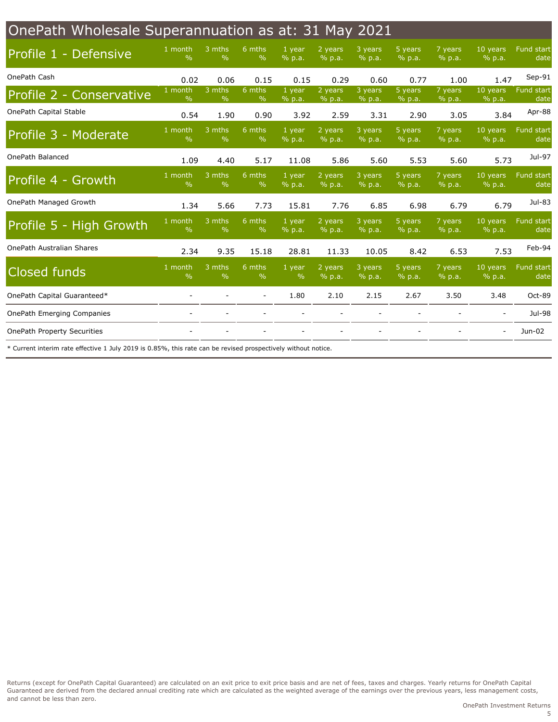<span id="page-4-0"></span>

| OnePath Wholesale Superannuation as at: 31 May 2021 |                          |                           |                         |                  |                     |                   |                   |                   |                          |                           |
|-----------------------------------------------------|--------------------------|---------------------------|-------------------------|------------------|---------------------|-------------------|-------------------|-------------------|--------------------------|---------------------------|
| <b>Profile 1 - Defensive</b>                        | 1 month<br>$\frac{0}{0}$ | 3 mths<br>$\frac{0}{0}$   | 6 mths<br>$\%$          | 1 year<br>% p.a. | 2 years<br>% p.a.   | 3 years<br>% p.a. | 5 years<br>% p.a. | 7 years<br>% p.a. | 10 years<br>% p.a.       | Fund start<br>date        |
| OnePath Cash                                        | 0.02                     | 0.06                      | 0.15                    | 0.15             | 0.29                | 0.60              | 0.77              | 1.00              | 1.47                     | Sep-91                    |
| Profile 2 - Conservative                            | 1 month<br>$\%$          | $3$ mths<br>$\frac{0}{0}$ | 6 mths<br>$\%$          | 1 year<br>% p.a. | 2 years<br>% p.a.   | 3 years<br>% p.a. | 5 years<br>% p.a. | 7 years<br>% p.a. | 10 years<br>% p.a.       | <b>Fund start</b><br>date |
| OnePath Capital Stable                              | 0.54                     | 1.90                      | 0.90                    | 3.92             | 2.59                | 3.31              | 2.90              | 3.05              | 3.84                     | Apr-88                    |
| Profile 3 - Moderate                                | 1 month<br>$\%$          | 3 mths<br>$\frac{0}{0}$   | 6 mths<br>$\%$          | 1 year<br>% p.a. | 2 years<br>% p.a.   | 3 years<br>% p.a. | 5 years<br>% p.a. | 7 years<br>% p.a. | 10 years<br>% p.a.       | Fund start<br>date        |
| OnePath Balanced                                    | 1.09                     | 4.40                      | 5.17                    | 11.08            | 5.86                | 5.60              | 5.53              | 5.60              | 5.73                     | Jul-97                    |
| Profile 4 - Growth                                  | 1 month<br>$\%$          | 3 mths<br>$\%$            | 6 mths<br>$\%$          | 1 year<br>% p.a. | 2 years<br>% p.a.   | 3 years<br>% p.a. | 5 years<br>% p.a. | 7 years<br>% p.a. | 10 years<br>% p.a.       | Fund start<br>date        |
| OnePath Managed Growth                              | 1.34                     | 5.66                      | 7.73                    | 15.81            | 7.76                | 6.85              | 6.98              | 6.79              | 6.79                     | Jul-83                    |
| Profile 5 - High Growth                             | 1 month<br>$\frac{9}{6}$ | 3 mths<br>$\frac{0}{0}$   | 6 mths<br>$\frac{9}{6}$ | 1 year<br>% p.a. | $2$ years<br>% p.a. | 3 years<br>% p.a. | 5 years<br>% p.a. | 7 years<br>% p.a. | 10 years<br>% p.a.       | Fund start<br>date        |
| OnePath Australian Shares                           | 2.34                     | 9.35                      | 15.18                   | 28.81            | 11.33               | 10.05             | 8.42              | 6.53              | 7.53                     | Feb-94                    |
| <b>Closed funds</b>                                 | 1 month<br>$\%$          | 3 mths<br>$\%$            | 6 mths<br>$\%$          | 1 year<br>$\%$   | $2$ years<br>% p.a. | 3 years<br>% p.a. | 5 years<br>% p.a. | 7 years<br>% p.a. | 10 years<br>% p.a.       | Fund start<br>date        |
| OnePath Capital Guaranteed*                         |                          |                           |                         | 1.80             | 2.10                | 2.15              | 2.67              | 3.50              | 3.48                     | Oct-89                    |
| <b>OnePath Emerging Companies</b>                   |                          |                           |                         |                  |                     |                   |                   |                   |                          | Jul-98                    |
| <b>OnePath Property Securities</b>                  |                          |                           |                         |                  |                     |                   |                   |                   | $\overline{\phantom{a}}$ | Jun-02                    |
|                                                     |                          |                           |                         |                  |                     |                   |                   |                   |                          |                           |

\* Current interim rate effective 1 July 2019 is 0.85%, this rate can be revised prospectively without notice.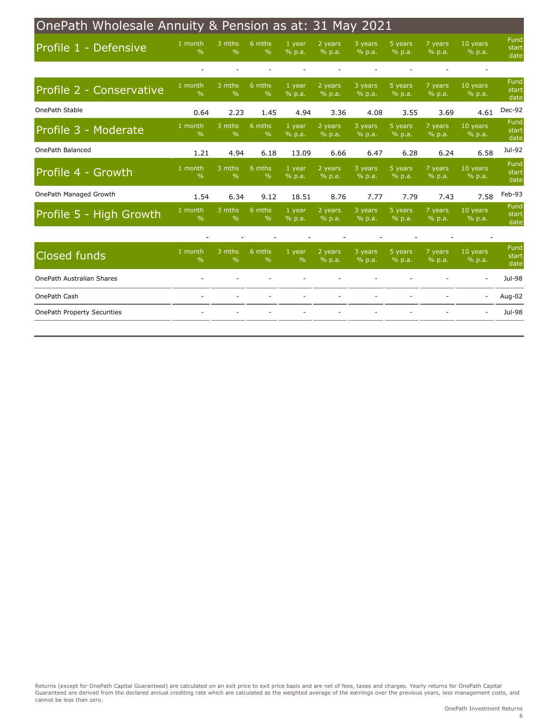<span id="page-5-0"></span>

| OnePath Wholesale Annuity & Pension as at: 31 May 2021 |                            |                         |                           |                         |                   |                   |                   |                   |                    |                       |
|--------------------------------------------------------|----------------------------|-------------------------|---------------------------|-------------------------|-------------------|-------------------|-------------------|-------------------|--------------------|-----------------------|
| Profile 1 - Defensive                                  | 1 month<br>$\frac{0}{0}$   | 3 mths<br>$\frac{0}{0}$ | 6 mths<br>$\frac{0}{0}$   | 1 year<br>% p.a.        | 2 years<br>% p.a. | 3 years<br>% p.a. | 5 years<br>% p.a. | 7 years<br>% p.a. | 10 years<br>% p.a. | Fund<br>start<br>date |
|                                                        |                            |                         |                           |                         |                   |                   |                   |                   |                    |                       |
| Profile 2 - Conservative                               | $1$ month<br>$\frac{0}{0}$ | 3 mths<br>$\frac{0}{0}$ | 6 mths<br>$\frac{0}{0}$   | 1 year<br>% p.a.        | 2 years<br>% p.a. | 3 years<br>% p.a. | 5 years<br>% p.a. | 7 years<br>% p.a. | 10 years<br>% p.a. | Fund<br>start<br>date |
| OnePath Stable                                         | 0.64                       | 2.23                    | 1.45                      | 4.94                    | 3.36              | 4.08              | 3.55              | 3.69              | 4.61               | Dec-92                |
| Profile 3 - Moderate                                   | 1 month<br>$\frac{9}{6}$   | 3 mths<br>$\frac{0}{0}$ | $6$ mths<br>$\frac{0}{0}$ | 1 year<br>% p.a.        | 2 years<br>% p.a. | 3 years<br>% p.a. | 5 years<br>% p.a. | 7 years<br>% p.a. | 10 years<br>% p.a. | Fund<br>start<br>date |
| OnePath Balanced                                       | 1.21                       | 4.94                    | 6.18                      | 13.09                   | 6.66              | 6.47              | 6.28              | 6.24              | 6.58               | Jul-92                |
| Profile 4 - Growth                                     | 1 month<br>$\frac{0}{0}$   | 3 mths<br>$\frac{0}{0}$ | 6 mths<br>$\frac{0}{0}$   | 1 year<br>% p.a.        | 2 years<br>% p.a. | 3 years<br>% p.a. | 5 years<br>% p.a. | 7 years<br>% p.a. | 10 years<br>% p.a. | Fund<br>start<br>date |
| OnePath Managed Growth                                 | 1.54                       | 6.34                    | 9.12                      | 18.51                   | 8.76              | 7.77              | 7.79              | 7.43              | 7.58               | Feb-93                |
| Profile 5 - High Growth                                | 1 month<br>$\frac{0}{0}$   | 3 mths<br>$\frac{0}{0}$ | 6 mths<br>$\%$            | 1 year<br>% p.a.        | 2 years<br>% p.a. | 3 years<br>% p.a. | 5 years<br>% p.a. | 7 years<br>% p.a. | 10 years<br>% p.a. | Fund<br>start<br>date |
|                                                        |                            |                         |                           |                         |                   |                   |                   |                   |                    |                       |
| <b>Closed funds</b>                                    | 1 month<br>$\frac{0}{0}$   | 3 mths<br>$\frac{0}{0}$ | 6 mths<br>$\frac{0}{0}$   | 1 year<br>$\frac{9}{6}$ | 2 years<br>% p.a. | 3 years<br>% p.a. | 5 years<br>% p.a. | 7 years<br>% p.a. | 10 years<br>% p.a. | Fund<br>start<br>date |
| OnePath Australian Shares                              |                            |                         |                           |                         |                   |                   |                   |                   |                    | Jul-98                |
| OnePath Cash                                           |                            |                         |                           |                         |                   |                   |                   |                   |                    | Aug-02                |
| <b>OnePath Property Securities</b>                     |                            |                         |                           |                         |                   |                   |                   |                   |                    | Jul-98                |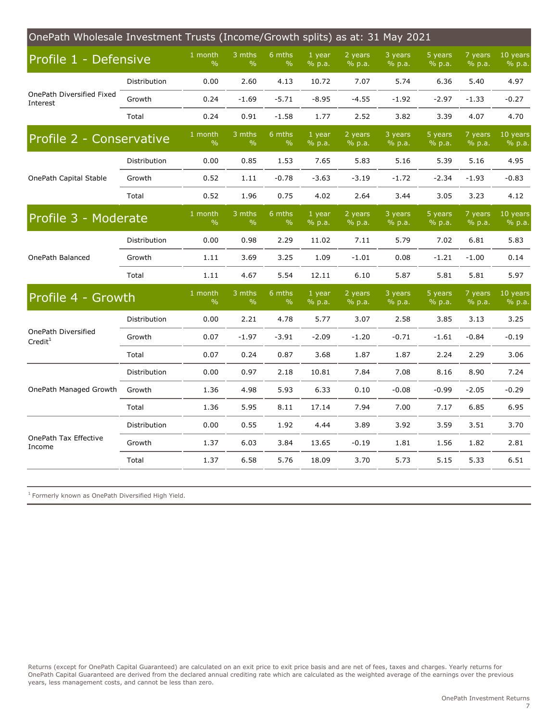<span id="page-6-0"></span>

| 1 month<br>3 mths<br>6 mths<br>1 year<br>2 years<br>3 years<br>5 years<br>7 years<br>10 years<br>Profile 1 - Defensive<br>$\%$<br>$\frac{0}{0}$<br>$\frac{0}{0}$<br>% p.a.<br>% p.a.<br>% p.a.<br>% p.a.<br>% p.a.<br>% p.a.<br>0.00<br>2.60<br>4.13<br>10.72<br>5.74<br>6.36<br>5.40<br>4.97<br>Distribution<br>7.07<br>OnePath Diversified Fixed<br>0.24<br>$-1.69$<br>$-5.71$<br>$-8.95$<br>$-4.55$<br>$-1.92$<br>$-2.97$<br>$-1.33$<br>$-0.27$<br>Growth<br>Interest<br>0.24<br>0.91<br>$-1.58$<br>1.77<br>2.52<br>3.82<br>3.39<br>4.07<br>4.70<br>Total<br>1 month<br>3 mths<br>6 mths<br>7 years<br>10 years<br>1 year<br>2 years<br>3 years<br>5 years<br>Profile 2 - Conservative<br>$\%$<br>$\frac{0}{0}$<br>% p.a.<br>% p.a.<br>$\%$<br>% p.a.<br>% p.a.<br>% p.a.<br>% p.a.<br>7.65<br>0.00<br>0.85<br>1.53<br>5.83<br>5.16<br>5.39<br>5.16<br>4.95<br>Distribution<br>OnePath Capital Stable<br>0.52<br>1.11<br>$-0.78$<br>$-3.63$<br>$-3.19$<br>$-1.72$<br>$-2.34$<br>$-1.93$<br>$-0.83$<br>Growth<br>0.52<br>1.96<br>0.75<br>4.02<br>2.64<br>3.05<br>3.23<br>4.12<br>Total<br>3.44<br>1 month<br>3 mths<br>6 mths<br>1 year<br>2 years<br>3 years<br>5 years<br>7 years<br>Profile 3 - Moderate<br>$\frac{0}{0}$<br>$\frac{0}{0}$<br>$\frac{0}{0}$<br>% p.a.<br>% p.a.<br>% p.a.<br>% p.a.<br>% p.a.<br>% p.a.<br>0.00<br>0.98<br>2.29<br>11.02<br>7.11<br>5.79<br>7.02<br>6.81<br>5.83<br>Distribution<br>OnePath Balanced<br>3.69<br>3.25<br>1.09<br>0.08<br>$-1.21$<br>$-1.00$<br>0.14<br>Growth<br>1.11<br>$-1.01$<br>4.67<br>5.54<br>12.11<br>6.10<br>5.87<br>5.81<br>5.81<br>5.97<br>Total<br>1.11<br>1 month<br>3 mths<br>6 mths<br>1 year<br>2 years<br>3 years<br>5 years<br>7 years<br>Profile 4 - Growth<br>$\%$<br>$\frac{0}{0}$<br>$\%$<br>% p.a.<br>% p.a.<br>% p.a.<br>% p.a.<br>% p.a.<br>% p.a.<br>Distribution<br>0.00<br>2.21<br>4.78<br>5.77<br>3.07<br>2.58<br>3.85<br>3.13<br>3.25<br>OnePath Diversified<br>0.07<br>$-1.97$<br>$-3.91$<br>$-0.84$<br>Growth<br>$-2.09$<br>$-1.20$<br>$-0.71$<br>$-1.61$<br>$-0.19$<br>Credit <sup>1</sup><br>0.07<br>0.24<br>0.87<br>3.68<br>1.87<br>2.29<br>3.06<br>Total<br>1.87<br>2.24<br>7.24<br>Distribution<br>0.00<br>0.97<br>2.18<br>10.81<br>7.84<br>7.08<br>8.16<br>8.90<br>OnePath Managed Growth<br>1.36<br>5.93<br>6.33<br>$-0.99$<br>$-2.05$<br>Growth<br>4.98<br>0.10<br>$-0.08$<br>$-0.29$<br>Total<br>1.36<br>5.95<br>7.00<br>7.17<br>6.85<br>6.95<br>8.11<br>17.14<br>7.94<br>Distribution<br>0.00<br>3.89<br>3.59<br>3.51<br>3.70<br>0.55<br>1.92<br>4.44<br>3.92<br>OnePath Tax Effective<br>Growth<br>1.37<br>6.03<br>3.84<br>13.65<br>$-0.19$<br>1.81<br>1.56<br>1.82<br>2.81<br>Income<br>5.15<br>Total<br>1.37<br>6.58<br>5.76<br>18.09<br>3.70<br>5.73<br>5.33<br>6.51 | OnePath Wholesale Investment Trusts (Income/Growth splits) as at: 31 May 2021 |  |  |  |  |  |  |  |  |  |  |
|-----------------------------------------------------------------------------------------------------------------------------------------------------------------------------------------------------------------------------------------------------------------------------------------------------------------------------------------------------------------------------------------------------------------------------------------------------------------------------------------------------------------------------------------------------------------------------------------------------------------------------------------------------------------------------------------------------------------------------------------------------------------------------------------------------------------------------------------------------------------------------------------------------------------------------------------------------------------------------------------------------------------------------------------------------------------------------------------------------------------------------------------------------------------------------------------------------------------------------------------------------------------------------------------------------------------------------------------------------------------------------------------------------------------------------------------------------------------------------------------------------------------------------------------------------------------------------------------------------------------------------------------------------------------------------------------------------------------------------------------------------------------------------------------------------------------------------------------------------------------------------------------------------------------------------------------------------------------------------------------------------------------------------------------------------------------------------------------------------------------------------------------------------------------------------------------------------------------------------------------------------------------------------------------------------------------------------------------------------------------------------------------------------------------------------------------------------------------------------------------------------------------------------------------------------------------------------------------------------------------------------------------------------------------------------------------------------------------------------------------------------------------------|-------------------------------------------------------------------------------|--|--|--|--|--|--|--|--|--|--|
|                                                                                                                                                                                                                                                                                                                                                                                                                                                                                                                                                                                                                                                                                                                                                                                                                                                                                                                                                                                                                                                                                                                                                                                                                                                                                                                                                                                                                                                                                                                                                                                                                                                                                                                                                                                                                                                                                                                                                                                                                                                                                                                                                                                                                                                                                                                                                                                                                                                                                                                                                                                                                                                                                                                                                                       |                                                                               |  |  |  |  |  |  |  |  |  |  |
|                                                                                                                                                                                                                                                                                                                                                                                                                                                                                                                                                                                                                                                                                                                                                                                                                                                                                                                                                                                                                                                                                                                                                                                                                                                                                                                                                                                                                                                                                                                                                                                                                                                                                                                                                                                                                                                                                                                                                                                                                                                                                                                                                                                                                                                                                                                                                                                                                                                                                                                                                                                                                                                                                                                                                                       |                                                                               |  |  |  |  |  |  |  |  |  |  |
|                                                                                                                                                                                                                                                                                                                                                                                                                                                                                                                                                                                                                                                                                                                                                                                                                                                                                                                                                                                                                                                                                                                                                                                                                                                                                                                                                                                                                                                                                                                                                                                                                                                                                                                                                                                                                                                                                                                                                                                                                                                                                                                                                                                                                                                                                                                                                                                                                                                                                                                                                                                                                                                                                                                                                                       |                                                                               |  |  |  |  |  |  |  |  |  |  |
|                                                                                                                                                                                                                                                                                                                                                                                                                                                                                                                                                                                                                                                                                                                                                                                                                                                                                                                                                                                                                                                                                                                                                                                                                                                                                                                                                                                                                                                                                                                                                                                                                                                                                                                                                                                                                                                                                                                                                                                                                                                                                                                                                                                                                                                                                                                                                                                                                                                                                                                                                                                                                                                                                                                                                                       |                                                                               |  |  |  |  |  |  |  |  |  |  |
|                                                                                                                                                                                                                                                                                                                                                                                                                                                                                                                                                                                                                                                                                                                                                                                                                                                                                                                                                                                                                                                                                                                                                                                                                                                                                                                                                                                                                                                                                                                                                                                                                                                                                                                                                                                                                                                                                                                                                                                                                                                                                                                                                                                                                                                                                                                                                                                                                                                                                                                                                                                                                                                                                                                                                                       |                                                                               |  |  |  |  |  |  |  |  |  |  |
|                                                                                                                                                                                                                                                                                                                                                                                                                                                                                                                                                                                                                                                                                                                                                                                                                                                                                                                                                                                                                                                                                                                                                                                                                                                                                                                                                                                                                                                                                                                                                                                                                                                                                                                                                                                                                                                                                                                                                                                                                                                                                                                                                                                                                                                                                                                                                                                                                                                                                                                                                                                                                                                                                                                                                                       |                                                                               |  |  |  |  |  |  |  |  |  |  |
| 10 years<br>10 years                                                                                                                                                                                                                                                                                                                                                                                                                                                                                                                                                                                                                                                                                                                                                                                                                                                                                                                                                                                                                                                                                                                                                                                                                                                                                                                                                                                                                                                                                                                                                                                                                                                                                                                                                                                                                                                                                                                                                                                                                                                                                                                                                                                                                                                                                                                                                                                                                                                                                                                                                                                                                                                                                                                                                  |                                                                               |  |  |  |  |  |  |  |  |  |  |
|                                                                                                                                                                                                                                                                                                                                                                                                                                                                                                                                                                                                                                                                                                                                                                                                                                                                                                                                                                                                                                                                                                                                                                                                                                                                                                                                                                                                                                                                                                                                                                                                                                                                                                                                                                                                                                                                                                                                                                                                                                                                                                                                                                                                                                                                                                                                                                                                                                                                                                                                                                                                                                                                                                                                                                       |                                                                               |  |  |  |  |  |  |  |  |  |  |
|                                                                                                                                                                                                                                                                                                                                                                                                                                                                                                                                                                                                                                                                                                                                                                                                                                                                                                                                                                                                                                                                                                                                                                                                                                                                                                                                                                                                                                                                                                                                                                                                                                                                                                                                                                                                                                                                                                                                                                                                                                                                                                                                                                                                                                                                                                                                                                                                                                                                                                                                                                                                                                                                                                                                                                       |                                                                               |  |  |  |  |  |  |  |  |  |  |
|                                                                                                                                                                                                                                                                                                                                                                                                                                                                                                                                                                                                                                                                                                                                                                                                                                                                                                                                                                                                                                                                                                                                                                                                                                                                                                                                                                                                                                                                                                                                                                                                                                                                                                                                                                                                                                                                                                                                                                                                                                                                                                                                                                                                                                                                                                                                                                                                                                                                                                                                                                                                                                                                                                                                                                       |                                                                               |  |  |  |  |  |  |  |  |  |  |
|                                                                                                                                                                                                                                                                                                                                                                                                                                                                                                                                                                                                                                                                                                                                                                                                                                                                                                                                                                                                                                                                                                                                                                                                                                                                                                                                                                                                                                                                                                                                                                                                                                                                                                                                                                                                                                                                                                                                                                                                                                                                                                                                                                                                                                                                                                                                                                                                                                                                                                                                                                                                                                                                                                                                                                       |                                                                               |  |  |  |  |  |  |  |  |  |  |
|                                                                                                                                                                                                                                                                                                                                                                                                                                                                                                                                                                                                                                                                                                                                                                                                                                                                                                                                                                                                                                                                                                                                                                                                                                                                                                                                                                                                                                                                                                                                                                                                                                                                                                                                                                                                                                                                                                                                                                                                                                                                                                                                                                                                                                                                                                                                                                                                                                                                                                                                                                                                                                                                                                                                                                       |                                                                               |  |  |  |  |  |  |  |  |  |  |
|                                                                                                                                                                                                                                                                                                                                                                                                                                                                                                                                                                                                                                                                                                                                                                                                                                                                                                                                                                                                                                                                                                                                                                                                                                                                                                                                                                                                                                                                                                                                                                                                                                                                                                                                                                                                                                                                                                                                                                                                                                                                                                                                                                                                                                                                                                                                                                                                                                                                                                                                                                                                                                                                                                                                                                       |                                                                               |  |  |  |  |  |  |  |  |  |  |
|                                                                                                                                                                                                                                                                                                                                                                                                                                                                                                                                                                                                                                                                                                                                                                                                                                                                                                                                                                                                                                                                                                                                                                                                                                                                                                                                                                                                                                                                                                                                                                                                                                                                                                                                                                                                                                                                                                                                                                                                                                                                                                                                                                                                                                                                                                                                                                                                                                                                                                                                                                                                                                                                                                                                                                       |                                                                               |  |  |  |  |  |  |  |  |  |  |
|                                                                                                                                                                                                                                                                                                                                                                                                                                                                                                                                                                                                                                                                                                                                                                                                                                                                                                                                                                                                                                                                                                                                                                                                                                                                                                                                                                                                                                                                                                                                                                                                                                                                                                                                                                                                                                                                                                                                                                                                                                                                                                                                                                                                                                                                                                                                                                                                                                                                                                                                                                                                                                                                                                                                                                       |                                                                               |  |  |  |  |  |  |  |  |  |  |
|                                                                                                                                                                                                                                                                                                                                                                                                                                                                                                                                                                                                                                                                                                                                                                                                                                                                                                                                                                                                                                                                                                                                                                                                                                                                                                                                                                                                                                                                                                                                                                                                                                                                                                                                                                                                                                                                                                                                                                                                                                                                                                                                                                                                                                                                                                                                                                                                                                                                                                                                                                                                                                                                                                                                                                       |                                                                               |  |  |  |  |  |  |  |  |  |  |
|                                                                                                                                                                                                                                                                                                                                                                                                                                                                                                                                                                                                                                                                                                                                                                                                                                                                                                                                                                                                                                                                                                                                                                                                                                                                                                                                                                                                                                                                                                                                                                                                                                                                                                                                                                                                                                                                                                                                                                                                                                                                                                                                                                                                                                                                                                                                                                                                                                                                                                                                                                                                                                                                                                                                                                       |                                                                               |  |  |  |  |  |  |  |  |  |  |
|                                                                                                                                                                                                                                                                                                                                                                                                                                                                                                                                                                                                                                                                                                                                                                                                                                                                                                                                                                                                                                                                                                                                                                                                                                                                                                                                                                                                                                                                                                                                                                                                                                                                                                                                                                                                                                                                                                                                                                                                                                                                                                                                                                                                                                                                                                                                                                                                                                                                                                                                                                                                                                                                                                                                                                       |                                                                               |  |  |  |  |  |  |  |  |  |  |
|                                                                                                                                                                                                                                                                                                                                                                                                                                                                                                                                                                                                                                                                                                                                                                                                                                                                                                                                                                                                                                                                                                                                                                                                                                                                                                                                                                                                                                                                                                                                                                                                                                                                                                                                                                                                                                                                                                                                                                                                                                                                                                                                                                                                                                                                                                                                                                                                                                                                                                                                                                                                                                                                                                                                                                       |                                                                               |  |  |  |  |  |  |  |  |  |  |
|                                                                                                                                                                                                                                                                                                                                                                                                                                                                                                                                                                                                                                                                                                                                                                                                                                                                                                                                                                                                                                                                                                                                                                                                                                                                                                                                                                                                                                                                                                                                                                                                                                                                                                                                                                                                                                                                                                                                                                                                                                                                                                                                                                                                                                                                                                                                                                                                                                                                                                                                                                                                                                                                                                                                                                       |                                                                               |  |  |  |  |  |  |  |  |  |  |
|                                                                                                                                                                                                                                                                                                                                                                                                                                                                                                                                                                                                                                                                                                                                                                                                                                                                                                                                                                                                                                                                                                                                                                                                                                                                                                                                                                                                                                                                                                                                                                                                                                                                                                                                                                                                                                                                                                                                                                                                                                                                                                                                                                                                                                                                                                                                                                                                                                                                                                                                                                                                                                                                                                                                                                       |                                                                               |  |  |  |  |  |  |  |  |  |  |
|                                                                                                                                                                                                                                                                                                                                                                                                                                                                                                                                                                                                                                                                                                                                                                                                                                                                                                                                                                                                                                                                                                                                                                                                                                                                                                                                                                                                                                                                                                                                                                                                                                                                                                                                                                                                                                                                                                                                                                                                                                                                                                                                                                                                                                                                                                                                                                                                                                                                                                                                                                                                                                                                                                                                                                       |                                                                               |  |  |  |  |  |  |  |  |  |  |

 $1$  Formerly known as OnePath Diversified High Yield.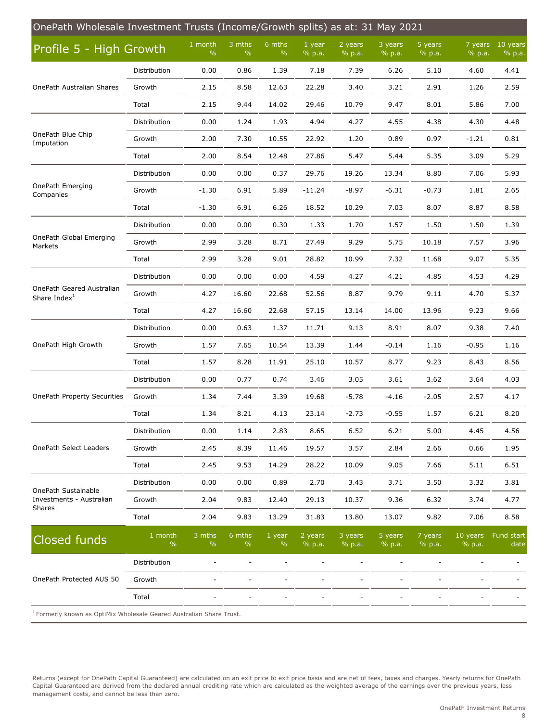| OnePath Wholesale Investment Trusts (Income/Growth splits) as at: 31 May 2021   |                          |                 |                |                         |                   |                   |                   |                   |                    |                      |  |
|---------------------------------------------------------------------------------|--------------------------|-----------------|----------------|-------------------------|-------------------|-------------------|-------------------|-------------------|--------------------|----------------------|--|
| Profile 5 - High Growth                                                         |                          | 1 month<br>$\%$ | 3 mths<br>$\%$ | 6 mths<br>$\frac{9}{6}$ | 1 year<br>% p.a.  | 2 years<br>% p.a. | 3 years<br>% p.a. | 5 years<br>% p.a. | 7 years<br>% p.a.  | $10$ years<br>% p.a. |  |
|                                                                                 | Distribution             | 0.00            | 0.86           | 1.39                    | 7.18              | 7.39              | 6.26              | 5.10              | 4.60               | 4.41                 |  |
| OnePath Australian Shares                                                       | Growth                   | 2.15            | 8.58           | 12.63                   | 22.28             | 3.40              | 3.21              | 2.91              | 1.26               | 2.59                 |  |
|                                                                                 | Total                    | 2.15            | 9.44           | 14.02                   | 29.46             | 10.79             | 9.47              | 8.01              | 5.86               | 7.00                 |  |
|                                                                                 | Distribution             | 0.00            | 1.24           | 1.93                    | 4.94              | 4.27              | 4.55              | 4.38              | 4.30               | 4.48                 |  |
| OnePath Blue Chip<br>Imputation                                                 | Growth                   | 2.00            | 7.30           | 10.55                   | 22.92             | 1.20              | 0.89              | 0.97              | $-1.21$            | 0.81                 |  |
|                                                                                 | Total                    | 2.00            | 8.54           | 12.48                   | 27.86             | 5.47              | 5.44              | 5.35              | 3.09               | 5.29                 |  |
|                                                                                 | Distribution             | 0.00            | 0.00           | 0.37                    | 29.76             | 19.26             | 13.34             | 8.80              | 7.06               | 5.93                 |  |
| OnePath Emerging<br>Companies                                                   | Growth                   | $-1.30$         | 6.91           | 5.89                    | $-11.24$          | $-8.97$           | $-6.31$           | $-0.73$           | 1.81               | 2.65                 |  |
|                                                                                 | Total                    | $-1.30$         | 6.91           | 6.26                    | 18.52             | 10.29             | 7.03              | 8.07              | 8.87               | 8.58                 |  |
|                                                                                 | Distribution             | 0.00            | 0.00           | 0.30                    | 1.33              | 1.70              | 1.57              | 1.50              | 1.50               | 1.39                 |  |
| OnePath Global Emerging<br>Markets                                              | Growth                   | 2.99            | 3.28           | 8.71                    | 27.49             | 9.29              | 5.75              | 10.18             | 7.57               | 3.96                 |  |
|                                                                                 | Total                    | 2.99            | 3.28           | 9.01                    | 28.82             | 10.99             | 7.32              | 11.68             | 9.07               | 5.35                 |  |
|                                                                                 | Distribution             | 0.00            | 0.00           | 0.00                    | 4.59              | 4.27              | 4.21              | 4.85              | 4.53               | 4.29                 |  |
| OnePath Geared Australian<br>Share Index <sup>1</sup>                           | Growth                   | 4.27            | 16.60          | 22.68                   | 52.56             | 8.87              | 9.79              | 9.11              | 4.70               | 5.37                 |  |
|                                                                                 | Total                    | 4.27            | 16.60          | 22.68                   | 57.15             | 13.14             | 14.00             | 13.96             | 9.23               | 9.66                 |  |
|                                                                                 | Distribution             | 0.00            | 0.63           | 1.37                    | 11.71             | 9.13              | 8.91              | 8.07              | 9.38               | 7.40                 |  |
| OnePath High Growth                                                             | Growth                   | 1.57            | 7.65           | 10.54                   | 13.39             | 1.44              | $-0.14$           | 1.16              | $-0.95$            | 1.16                 |  |
|                                                                                 | Total                    | 1.57            | 8.28           | 11.91                   | 25.10             | 10.57             | 8.77              | 9.23              | 8.43               | 8.56                 |  |
|                                                                                 | Distribution             | 0.00            | 0.77           | 0.74                    | 3.46              | 3.05              | 3.61              | 3.62              | 3.64               | 4.03                 |  |
| <b>OnePath Property Securities</b>                                              | Growth                   | 1.34            | 7.44           | 3.39                    | 19.68             | $-5.78$           | $-4.16$           | $-2.05$           | 2.57               | 4.17                 |  |
|                                                                                 | Total                    | 1.34            | 8.21           | 4.13                    | 23.14             | $-2.73$           | $-0.55$           | 1.57              | 6.21               | 8.20                 |  |
|                                                                                 | Distribution             | 0.00            | 1.14           | 2.83                    | 8.65              | 6.52              | 6.21              | 5.00              | 4.45               | 4.56                 |  |
| <b>OnePath Select Leaders</b>                                                   | Growth                   | 2.45            | 8.39           | 11.46                   | 19.57             | 3.57              | 2.84              | 2.66              | 0.66               | 1.95                 |  |
|                                                                                 | Total                    | 2.45            | 9.53           | 14.29                   | 28.22             | 10.09             | 9.05              | 7.66              | 5.11               | 6.51                 |  |
|                                                                                 | Distribution             | 0.00            | 0.00           | 0.89                    | 2.70              | 3.43              | 3.71              | 3.50              | 3.32               | 3.81                 |  |
| OnePath Sustainable<br>Investments - Australian                                 | Growth                   | 2.04            | 9.83           | 12.40                   | 29.13             | 10.37             | 9.36              | 6.32              | 3.74               | 4.77                 |  |
| Shares                                                                          | Total                    | 2.04            | 9.83           | 13.29                   | 31.83             | 13.80             | 13.07             | 9.82              | 7.06               | 8.58                 |  |
| <b>Closed funds</b>                                                             | 1 month<br>$\frac{0}{0}$ | 3 mths<br>$\%$  | 6 mths<br>$\%$ | 1 year<br>$\frac{0}{0}$ | 2 years<br>% p.a. | 3 years<br>% p.a. | 5 years<br>% p.a. | 7 years<br>% p.a. | 10 years<br>% p.a. | Fund start<br>date   |  |
|                                                                                 | Distribution             |                 |                |                         |                   |                   |                   |                   |                    |                      |  |
| OnePath Protected AUS 50                                                        | Growth                   |                 |                |                         |                   |                   |                   |                   |                    |                      |  |
|                                                                                 | Total                    |                 |                |                         |                   |                   |                   |                   |                    |                      |  |
| <sup>1</sup> Formerly known as OptiMix Wholesale Geared Australian Share Trust. |                          |                 |                |                         |                   |                   |                   |                   |                    |                      |  |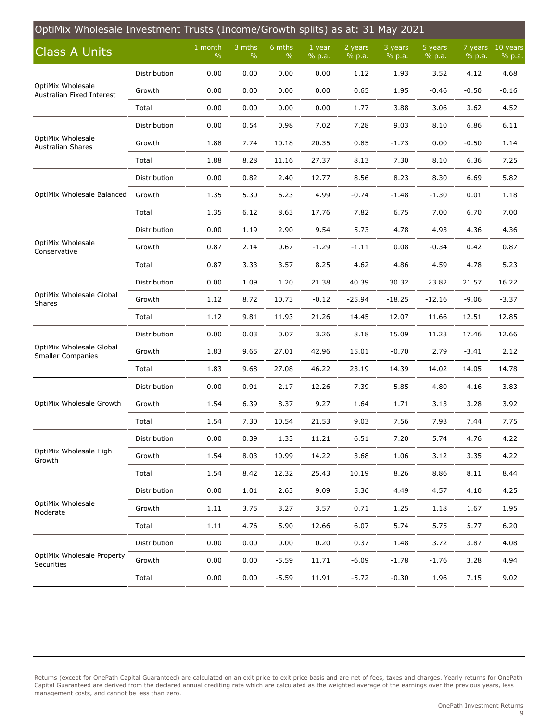<span id="page-8-0"></span>

| OptiMix Wholesale Investment Trusts (Income/Growth splits) as at: 31 May 2021 |              |                          |                         |                         |                  |                   |                   |                   |                   |                    |  |  |
|-------------------------------------------------------------------------------|--------------|--------------------------|-------------------------|-------------------------|------------------|-------------------|-------------------|-------------------|-------------------|--------------------|--|--|
| <b>Class A Units</b>                                                          |              | 1 month<br>$\frac{0}{0}$ | 3 mths<br>$\frac{0}{0}$ | 6 mths<br>$\frac{0}{0}$ | 1 year<br>% p.a. | 2 years<br>% p.a. | 3 years<br>% p.a. | 5 years<br>% p.a. | 7 years<br>% p.a. | 10 years<br>% p.a. |  |  |
|                                                                               | Distribution | 0.00                     | 0.00                    | 0.00                    | 0.00             | 1.12              | 1.93              | 3.52              | 4.12              | 4.68               |  |  |
| OptiMix Wholesale<br>Australian Fixed Interest                                | Growth       | 0.00                     | 0.00                    | 0.00                    | 0.00             | 0.65              | 1.95              | $-0.46$           | $-0.50$           | $-0.16$            |  |  |
|                                                                               | Total        | 0.00                     | 0.00                    | 0.00                    | 0.00             | 1.77              | 3.88              | 3.06              | 3.62              | 4.52               |  |  |
|                                                                               | Distribution | 0.00                     | 0.54                    | 0.98                    | 7.02             | 7.28              | 9.03              | 8.10              | 6.86              | 6.11               |  |  |
| OptiMix Wholesale<br><b>Australian Shares</b>                                 | Growth       | 1.88                     | 7.74                    | 10.18                   | 20.35            | 0.85              | $-1.73$           | 0.00              | $-0.50$           | 1.14               |  |  |
|                                                                               | Total        | 1.88                     | 8.28                    | 11.16                   | 27.37            | 8.13              | 7.30              | 8.10              | 6.36              | 7.25               |  |  |
|                                                                               | Distribution | 0.00                     | 0.82                    | 2.40                    | 12.77            | 8.56              | 8.23              | 8.30              | 6.69              | 5.82               |  |  |
| OptiMix Wholesale Balanced                                                    | Growth       | 1.35                     | 5.30                    | 6.23                    | 4.99             | $-0.74$           | $-1.48$           | $-1.30$           | 0.01              | 1.18               |  |  |
|                                                                               | Total        | 1.35                     | 6.12                    | 8.63                    | 17.76            | 7.82              | 6.75              | 7.00              | 6.70              | 7.00               |  |  |
|                                                                               | Distribution | 0.00                     | 1.19                    | 2.90                    | 9.54             | 5.73              | 4.78              | 4.93              | 4.36              | 4.36               |  |  |
| OptiMix Wholesale<br>Conservative                                             | Growth       | 0.87                     | 2.14                    | 0.67                    | $-1.29$          | $-1.11$           | 0.08              | $-0.34$           | 0.42              | 0.87               |  |  |
|                                                                               | Total        | 0.87                     | 3.33                    | 3.57                    | 8.25             | 4.62              | 4.86              | 4.59              | 4.78              | 5.23               |  |  |
|                                                                               | Distribution | 0.00                     | 1.09                    | 1.20                    | 21.38            | 40.39             | 30.32             | 23.82             | 21.57             | 16.22              |  |  |
| OptiMix Wholesale Global<br>Shares                                            | Growth       | 1.12                     | 8.72                    | 10.73                   | $-0.12$          | $-25.94$          | $-18.25$          | $-12.16$          | $-9.06$           | $-3.37$            |  |  |
|                                                                               | Total        | 1.12                     | 9.81                    | 11.93                   | 21.26            | 14.45             | 12.07             | 11.66             | 12.51             | 12.85              |  |  |
|                                                                               | Distribution | 0.00                     | 0.03                    | 0.07                    | 3.26             | 8.18              | 15.09             | 11.23             | 17.46             | 12.66              |  |  |
| OptiMix Wholesale Global<br><b>Smaller Companies</b>                          | Growth       | 1.83                     | 9.65                    | 27.01                   | 42.96            | 15.01             | $-0.70$           | 2.79              | $-3.41$           | 2.12               |  |  |
|                                                                               | Total        | 1.83                     | 9.68                    | 27.08                   | 46.22            | 23.19             | 14.39             | 14.02             | 14.05             | 14.78              |  |  |
|                                                                               | Distribution | 0.00                     | 0.91                    | 2.17                    | 12.26            | 7.39              | 5.85              | 4.80              | 4.16              | 3.83               |  |  |
| OptiMix Wholesale Growth                                                      | Growth       | 1.54                     | 6.39                    | 8.37                    | 9.27             | 1.64              | 1.71              | 3.13              | 3.28              | 3.92               |  |  |
|                                                                               | Total        | 1.54                     | 7.30                    | 10.54                   | 21.53            | 9.03              | 7.56              | 7.93              | 7.44              | 7.75               |  |  |
|                                                                               | Distribution | 0.00                     | 0.39                    | 1.33                    | 11.21            | 6.51              | 7.20              | 5.74              | 4.76              | 4.22               |  |  |
| OptiMix Wholesale High<br>Growth                                              | Growth       | 1.54                     | 8.03                    | 10.99                   | 14.22            | 3.68              | 1.06              | 3.12              | 3.35              | 4.22               |  |  |
|                                                                               | Total        | 1.54                     | 8.42                    | 12.32                   | 25.43            | 10.19             | 8.26              | 8.86              | 8.11              | 8.44               |  |  |
|                                                                               | Distribution | 0.00                     | 1.01                    | 2.63                    | 9.09             | 5.36              | 4.49              | 4.57              | 4.10              | 4.25               |  |  |
| OptiMix Wholesale<br>Moderate                                                 | Growth       | 1.11                     | 3.75                    | 3.27                    | 3.57             | 0.71              | 1.25              | 1.18              | 1.67              | 1.95               |  |  |
|                                                                               | Total        | 1.11                     | 4.76                    | 5.90                    | 12.66            | 6.07              | 5.74              | 5.75              | 5.77              | 6.20               |  |  |
|                                                                               | Distribution | 0.00                     | 0.00                    | 0.00                    | 0.20             | 0.37              | 1.48              | 3.72              | 3.87              | 4.08               |  |  |
| OptiMix Wholesale Property<br>Securities                                      | Growth       | 0.00                     | 0.00                    | $-5.59$                 | 11.71            | $-6.09$           | $-1.78$           | $-1.76$           | 3.28              | 4.94               |  |  |
|                                                                               | Total        | 0.00                     | 0.00                    | $-5.59$                 | 11.91            | $-5.72$           | $-0.30$           | 1.96              | 7.15              | 9.02               |  |  |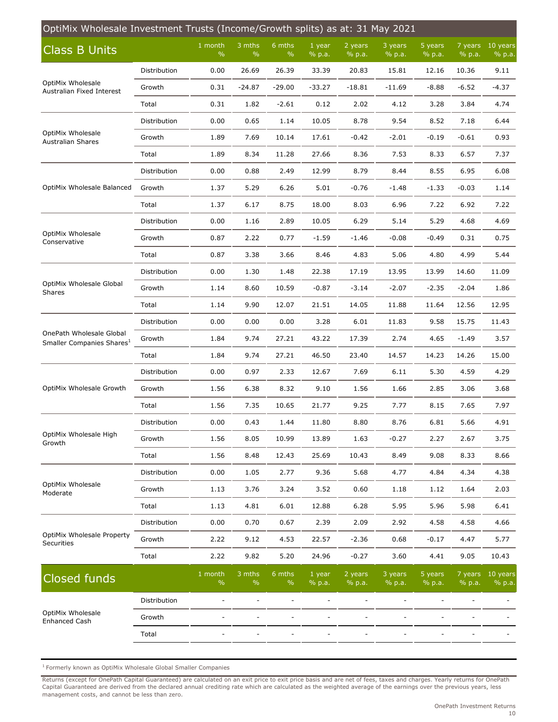| OptiMix Wholesale Investment Trusts (Income/Growth splits) as at: 31 May 2021 |              |                            |                          |                         |                  |                   |                   |                   |                   |                      |  |  |
|-------------------------------------------------------------------------------|--------------|----------------------------|--------------------------|-------------------------|------------------|-------------------|-------------------|-------------------|-------------------|----------------------|--|--|
| <b>Class B Units</b>                                                          |              | $1$ month<br>$\frac{0}{0}$ | 3 mths<br>$\%$           | 6 mths<br>$\frac{0}{0}$ | 1 year<br>% p.a. | 2 years<br>% p.a. | 3 years<br>% p.a. | 5 years<br>% p.a. | 7 years<br>% p.a. | $10$ years<br>% p.a. |  |  |
|                                                                               | Distribution | 0.00                       | 26.69                    | 26.39                   | 33.39            | 20.83             | 15.81             | 12.16             | 10.36             | 9.11                 |  |  |
| OptiMix Wholesale<br>Australian Fixed Interest                                | Growth       | 0.31                       | $-24.87$                 | $-29.00$                | $-33.27$         | $-18.81$          | $-11.69$          | $-8.88$           | $-6.52$           | $-4.37$              |  |  |
|                                                                               | Total        | 0.31                       | 1.82                     | $-2.61$                 | 0.12             | 2.02              | 4.12              | 3.28              | 3.84              | 4.74                 |  |  |
|                                                                               | Distribution | 0.00                       | 0.65                     | 1.14                    | 10.05            | 8.78              | 9.54              | 8.52              | 7.18              | 6.44                 |  |  |
| OptiMix Wholesale<br><b>Australian Shares</b>                                 | Growth       | 1.89                       | 7.69                     | 10.14                   | 17.61            | $-0.42$           | $-2.01$           | $-0.19$           | $-0.61$           | 0.93                 |  |  |
|                                                                               | Total        | 1.89                       | 8.34                     | 11.28                   | 27.66            | 8.36              | 7.53              | 8.33              | 6.57              | 7.37                 |  |  |
|                                                                               | Distribution | 0.00                       | 0.88                     | 2.49                    | 12.99            | 8.79              | 8.44              | 8.55              | 6.95              | 6.08                 |  |  |
| OptiMix Wholesale Balanced                                                    | Growth       | 1.37                       | 5.29                     | 6.26                    | 5.01             | $-0.76$           | $-1.48$           | $-1.33$           | $-0.03$           | 1.14                 |  |  |
|                                                                               | Total        | 1.37                       | 6.17                     | 8.75                    | 18.00            | 8.03              | 6.96              | 7.22              | 6.92              | 7.22                 |  |  |
|                                                                               | Distribution | 0.00                       | 1.16                     | 2.89                    | 10.05            | 6.29              | 5.14              | 5.29              | 4.68              | 4.69                 |  |  |
| OptiMix Wholesale<br>Conservative                                             | Growth       | 0.87                       | 2.22                     | 0.77                    | $-1.59$          | $-1.46$           | $-0.08$           | $-0.49$           | 0.31              | 0.75                 |  |  |
|                                                                               | Total        | 0.87                       | 3.38                     | 3.66                    | 8.46             | 4.83              | 5.06              | 4.80              | 4.99              | 5.44                 |  |  |
|                                                                               | Distribution | 0.00                       | 1.30                     | 1.48                    | 22.38            | 17.19             | 13.95             | 13.99             | 14.60             | 11.09                |  |  |
| OptiMix Wholesale Global<br>Shares                                            | Growth       | 1.14                       | 8.60                     | 10.59                   | $-0.87$          | $-3.14$           | $-2.07$           | $-2.35$           | $-2.04$           | 1.86                 |  |  |
|                                                                               | Total        | 1.14                       | 9.90                     | 12.07                   | 21.51            | 14.05             | 11.88             | 11.64             | 12.56             | 12.95                |  |  |
| OnePath Wholesale Global<br>Smaller Companies Shares <sup>1</sup>             | Distribution | 0.00                       | 0.00                     | 0.00                    | 3.28             | 6.01              | 11.83             | 9.58              | 15.75             | 11.43                |  |  |
|                                                                               | Growth       | 1.84                       | 9.74                     | 27.21                   | 43.22            | 17.39             | 2.74              | 4.65              | -1.49             | 3.57                 |  |  |
|                                                                               | Total        | 1.84                       | 9.74                     | 27.21                   | 46.50            | 23.40             | 14.57             | 14.23             | 14.26             | 15.00                |  |  |
|                                                                               | Distribution | 0.00                       | 0.97                     | 2.33                    | 12.67            | 7.69              | 6.11              | 5.30              | 4.59              | 4.29                 |  |  |
| OptiMix Wholesale Growth                                                      | Growth       | 1.56                       | 6.38                     | 8.32                    | 9.10             | 1.56              | 1.66              | 2.85              | 3.06              | 3.68                 |  |  |
|                                                                               | Total        | 1.56                       | 7.35                     | 10.65                   | 21.77            | 9.25              | 7.77              | 8.15              | 7.65              | 7.97                 |  |  |
|                                                                               | Distribution | 0.00                       | 0.43                     | 1.44                    | 11.80            | 8.80              | 8.76              | 6.81              | 5.66              | 4.91                 |  |  |
| OptiMix Wholesale High<br>Growth                                              | Growth       | 1.56                       | 8.05                     | 10.99                   | 13.89            | 1.63              | $-0.27$           | 2.27              | 2.67              | 3.75                 |  |  |
|                                                                               | Total        | 1.56                       | 8.48                     | 12.43                   | 25.69            | 10.43             | 8.49              | 9.08              | 8.33              | 8.66                 |  |  |
|                                                                               | Distribution | 0.00                       | 1.05                     | 2.77                    | 9.36             | 5.68              | 4.77              | 4.84              | 4.34              | 4.38                 |  |  |
| OptiMix Wholesale<br>Moderate                                                 | Growth       | 1.13                       | 3.76                     | 3.24                    | 3.52             | 0.60              | 1.18              | 1.12              | 1.64              | 2.03                 |  |  |
|                                                                               | Total        | 1.13                       | 4.81                     | 6.01                    | 12.88            | 6.28              | 5.95              | 5.96              | 5.98              | 6.41                 |  |  |
|                                                                               | Distribution | 0.00                       | 0.70                     | 0.67                    | 2.39             | 2.09              | 2.92              | 4.58              | 4.58              | 4.66                 |  |  |
| OptiMix Wholesale Property<br>Securities                                      | Growth       | 2.22                       | 9.12                     | 4.53                    | 22.57            | $-2.36$           | 0.68              | $-0.17$           | 4.47              | 5.77                 |  |  |
|                                                                               | Total        | 2.22                       | 9.82                     | 5.20                    | 24.96            | $-0.27$           | 3.60              | 4.41              | 9.05              | 10.43                |  |  |
| <b>Closed funds</b>                                                           |              | 1 month<br>$\%$            | 3 mths<br>$\frac{0}{0}$  | 6 mths<br>$\%$          | 1 year<br>% p.a. | 2 years<br>% p.a. | 3 years<br>% p.a. | 5 years<br>% p.a. | 7 years<br>% p.a. | 10 years<br>% p.a.   |  |  |
|                                                                               | Distribution |                            | $\overline{\phantom{a}}$ |                         |                  |                   |                   |                   |                   |                      |  |  |
| OptiMix Wholesale<br><b>Enhanced Cash</b>                                     | Growth       |                            |                          |                         |                  |                   |                   |                   |                   |                      |  |  |
|                                                                               | Total        |                            |                          |                         |                  |                   |                   |                   |                   |                      |  |  |
|                                                                               |              |                            |                          |                         |                  |                   |                   |                   |                   |                      |  |  |

 $<sup>1</sup>$  Formerly known as OptiMix Wholesale Global Smaller Companies</sup>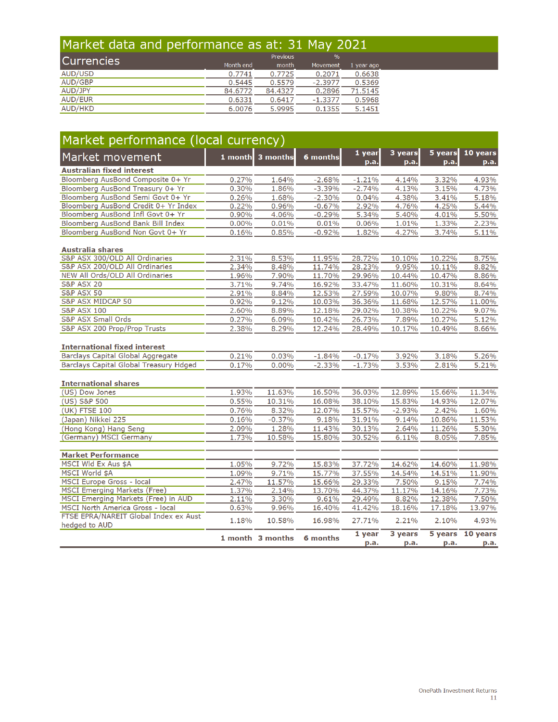## Market data and performance as at: 31 May 2021

| Currencies     |           | Previous | $\%$      |            |
|----------------|-----------|----------|-----------|------------|
|                | Month end | month    | Movement  | 1 year ago |
| AUD/USD        | 0.7741    | 0.7725   | 0.2071    | 0.6638     |
| AUD/GBP        | 0.5445    | 0.5579   | $-2.3977$ | 0.5369     |
| AUD/JPY        | 84.6772   | 84.4327  | 0.2896    | 71.5145    |
| <b>AUD/EUR</b> | 0.6331    | 0.6417   | $-1.3377$ | 0.5968     |
| <b>AUD/HKD</b> | 6.0076    | 5.9995   | 0.1355    | 5.1451     |

| Market performance (local currency)           |          |                  |          |                |                 |                 |                          |  |  |  |  |  |  |
|-----------------------------------------------|----------|------------------|----------|----------------|-----------------|-----------------|--------------------------|--|--|--|--|--|--|
| Market movement                               |          | 1 month 3 months | 6 months | 1 year<br>p.a. | 3 years<br>p.a. | 5 years<br>p.a. | 10 years<br>p.a.         |  |  |  |  |  |  |
| <b>Australian fixed interest</b>              |          |                  |          |                |                 |                 |                          |  |  |  |  |  |  |
| Bloomberg AusBond Composite 0+ Yr             | 0.27%    | 1.64%            | $-2.68%$ | $-1.21%$       | 4.14%           | 3.32%           | 4.93%                    |  |  |  |  |  |  |
| Bloomberg AusBond Treasury 0+ Yr              | 0.30%    | 1.86%            | $-3.39%$ | $-2.74%$       | 4.13%           | 3.15%           | 4.73%                    |  |  |  |  |  |  |
| Bloomberg AusBond Semi Govt 0+ Yr             | 0.26%    | 1.68%            | $-2.30%$ | 0.04%          | 4.38%           | 3.41%           | 5.18%                    |  |  |  |  |  |  |
| Bloomberg AusBond Credit 0+ Yr Index          | 0.22%    | 0.96%            | $-0.67%$ | 2.92%          | 4.76%           | 4.25%           | 5.44%                    |  |  |  |  |  |  |
| Bloomberg AusBond Infl Govt 0+ Yr             | 0.90%    | 4.06%            | $-0.29%$ | 5.34%          | 5.40%           | 4.01%           | 5.50%                    |  |  |  |  |  |  |
| Bloomberg AusBond Bank Bill Index             | $0.00\%$ | 0.01%            | 0.01%    | 0.06%          | 1.01%           | 1.33%           | 2.23%                    |  |  |  |  |  |  |
| Bloomberg AusBond Non Govt 0+ Yr              | 0.16%    | 0.85%            | $-0.92%$ | 1.82%          | 4.27%           | 3.74%           | 5.11%                    |  |  |  |  |  |  |
| <b>Australia shares</b>                       |          |                  |          |                |                 |                 |                          |  |  |  |  |  |  |
| S&P ASX 300/OLD All Ordinaries                | 2.31%    | 8.53%            | 11.95%   | 28.72%         | 10.10%          | 10.22%          | 8.75%                    |  |  |  |  |  |  |
| S&P ASX 200/OLD All Ordinaries                | 2.34%    | 8.48%            | 11.74%   | 28.23%         | 9.95%           | 10.11%          | 8.82%                    |  |  |  |  |  |  |
| NEW All Ords/OLD All Ordinaries               | 1.96%    | 7.90%            | 11.70%   | 29.96%         | 10.44%          | 10.47%          | 8.86%                    |  |  |  |  |  |  |
| <b>S&amp;P ASX 20</b>                         | 3.71%    | 9.74%            | 16.92%   | 33.47%         | 11.60%          | 10.31%          | 8.64%                    |  |  |  |  |  |  |
| <b>S&amp;P ASX 50</b>                         | 2.91%    | 8.84%            | 12.53%   | 27.59%         | 10.07%          | 9.80%           | 8.74%                    |  |  |  |  |  |  |
| <b>S&amp;P ASX MIDCAP 50</b>                  | 0.92%    | 9.12%            | 10.03%   | 36.36%         | 11.68%          | 12.57%          | 11.00%                   |  |  |  |  |  |  |
| <b>S&amp;P ASX 100</b>                        | 2.60%    | 8.89%            | 12.18%   | 29.02%         | 10.38%          | 10.22%          | 9.07%                    |  |  |  |  |  |  |
| <b>S&amp;P ASX Small Ords</b>                 | 0.27%    | 6.09%            | 10.42%   | 26.73%         | 7.89%           | 10.27%          | 5.12%                    |  |  |  |  |  |  |
| S&P ASX 200 Prop/Prop Trusts                  | 2.38%    | 8.29%            | 12.24%   | 28.49%         | 10.17%          | 10.49%          | 8.66%                    |  |  |  |  |  |  |
| <b>International fixed interest</b>           |          |                  |          |                |                 |                 |                          |  |  |  |  |  |  |
| <b>Barclays Capital Global Aggregate</b>      | 0.21%    | 0.03%            | $-1.84%$ | $-0.17%$       | 3.92%           | 3.18%           | 5.26%                    |  |  |  |  |  |  |
| <b>Barclays Capital Global Treasury Hdged</b> | 0.17%    | $0.00\%$         | $-2.33%$ | $-1.73%$       | 3.53%           | 2.81%           | 5.21%                    |  |  |  |  |  |  |
| <b>International shares</b>                   |          |                  |          |                |                 |                 |                          |  |  |  |  |  |  |
| (US) Dow Jones                                | 1.93%    | 11.63%           | 16.50%   | 36.03%         | 12.89%          | 15.66%          | 11.34%                   |  |  |  |  |  |  |
| (US) S&P 500                                  | 0.55%    | 10.31%           | 16.08%   | 38.10%         | 15.83%          | 14.93%          | 12.07%                   |  |  |  |  |  |  |
| (UK) FTSE 100                                 | 0.76%    | 8.32%            | 12.07%   | 15.57%         | $-2.93%$        | 2.42%           | 1.60%                    |  |  |  |  |  |  |
| (Japan) Nikkei 225                            | 0.16%    | $-0.37%$         | 9.18%    | 31.91%         | 9.14%           | 10.86%          | 11.53%                   |  |  |  |  |  |  |
| (Hong Kong) Hang Seng                         | 2.09%    | 1.28%            | 11.43%   | 30.13%         | 2.64%           | 11.26%          | 5.30%                    |  |  |  |  |  |  |
| (Germany) MSCI Germany                        | 1.73%    | 10.58%           | 15.80%   | 30.52%         | 6.11%           | 8.05%           | 7.85%                    |  |  |  |  |  |  |
| <b>Market Performance</b>                     |          |                  |          |                |                 |                 |                          |  |  |  |  |  |  |
| MSCI Wld Ex Aus \$A                           | 1.05%    | 9.72%            | 15.83%   | 37.72%         | 14.62%          | 14.60%          | 11.98%                   |  |  |  |  |  |  |
| MSCI World \$A                                | 1.09%    | 9.71%            | 15.77%   | 37.55%         | 14.54%          | 14.51%          | 11.90%                   |  |  |  |  |  |  |
| MSCI Europe Gross - local                     | 2.47%    | 11.57%           | 15.66%   | 29.33%         | 7.50%           | 9.15%           | 7.74%                    |  |  |  |  |  |  |
| <b>MSCI Emerging Markets (Free)</b>           | 1.37%    | 2.14%            | 13.70%   | 44.37%         | 11.17%          | 14.16%          | 7.73%                    |  |  |  |  |  |  |
| MSCI Emerging Markets (Free) in AUD           | 2.11%    | 3.30%            | 9.61%    | 29.49%         | 8.82%           | 12.38%          | 7.50%                    |  |  |  |  |  |  |
| MSCI North America Gross - local              | 0.63%    | 9.96%            | 16.40%   | 41.42%         | 18.16%          | 17.18%          | 13.97%                   |  |  |  |  |  |  |
| FTSE EPRA/NAREIT Global Index ex Aust         |          |                  |          |                |                 |                 |                          |  |  |  |  |  |  |
| hedged to AUD                                 | 1.18%    | 10.58%           | 16.98%   | 27.71%         | 2.21%           | 2.10%           | 4.93%                    |  |  |  |  |  |  |
|                                               |          | 1 month 3 months | 6 months | 1 year<br>p.a. | 3 years<br>p.a. | p.a.            | 5 years 10 years<br>р.а. |  |  |  |  |  |  |